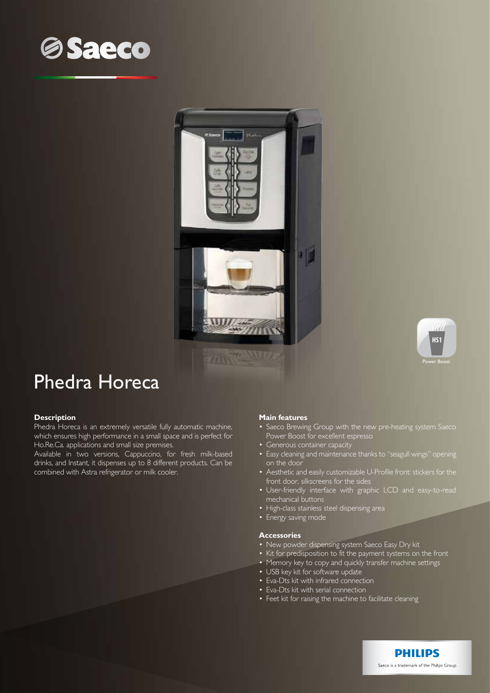





# Phedra Horeca

## **Description**

Phedra Horeca is an extremely versatile fully automatic machine, which ensures high performance in a small space and is perfect for Ho.Re.Ca. applications and small size premises.

Available in two versions, Cappuccino, for fresh milk-based drinks, and Instant, it dispenses up to 8 different products. Can be combined with Astra refrigerator or milk cooler.

### **Main features**

- Saeco Brewing Group with the new pre-heating system Saeco Power Boost for excellent espresso
- Generous container capacity
- Easy cleaning and maintenance thanks to "seagull wings" opening on the door
- Aesthetic and easily customizable U-Profile front: stickers for the front door, silkscreens for the sides
- User-friendly interface with graphic LCD and easy-to-read mechanical buttons
- High-class stainless steel dispensing area
- Energy saving mode

#### **Accessories**

- New powder dispensing system Saeco Easy Dry kit
- Kit for predisposition to fit the payment systems on the front
- Memory key to copy and quickly transfer machine settings
- USB key kit for software update
- Eva-Dts kit with infrared connection
- Eva-Dts kit with serial connection
- Feet kit for raising the machine to facilitate cleaning